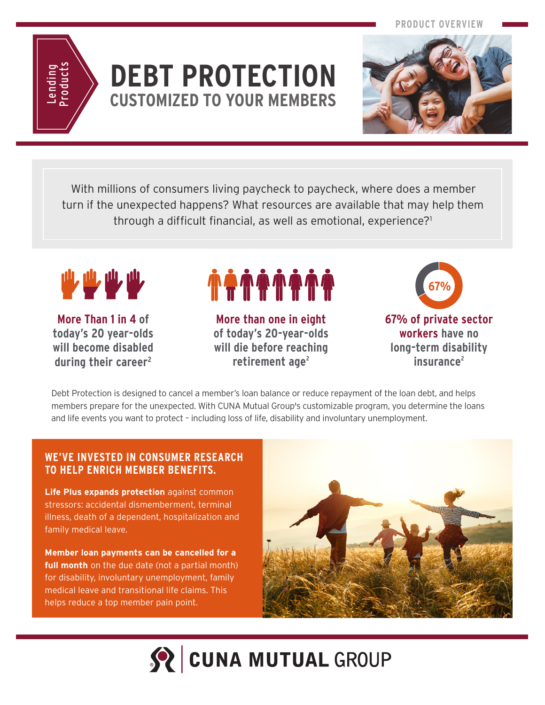**PRODUCT OVERVIEW**



### **DEBT PROTECTION CUSTOMIZED TO YOUR MEMBERS**



With millions of consumers living paycheck to paycheck, where does a member turn if the unexpected happens? What resources are available that may help them through a difficult financial, as well as emotional, experience?1



**More Than 1 in 4 of today's 20 year-olds will become disabled during their career2**

# **. 44444**

**More than one in eight of today's 20-year-olds will die before reaching**  retirement age<sup>2</sup>



Debt Protection is designed to cancel a member's loan balance or reduce repayment of the loan debt, and helps members prepare for the unexpected. With CUNA Mutual Group's customizable program, you determine the loans and life events you want to protect – including loss of life, disability and involuntary unemployment.

#### **WE'VE INVESTED IN CONSUMER RESEARCH TO HELP ENRICH MEMBER BENEFITS.**

**Life Plus expands protection** against common stressors: accidental dismemberment, terminal illness, death of a dependent, hospitalization and family medical leave.

**Member loan payments can be cancelled for a full month** on the due date (not a partial month) for disability, involuntary unemployment, family medical leave and transitional life claims. This helps reduce a top member pain point.